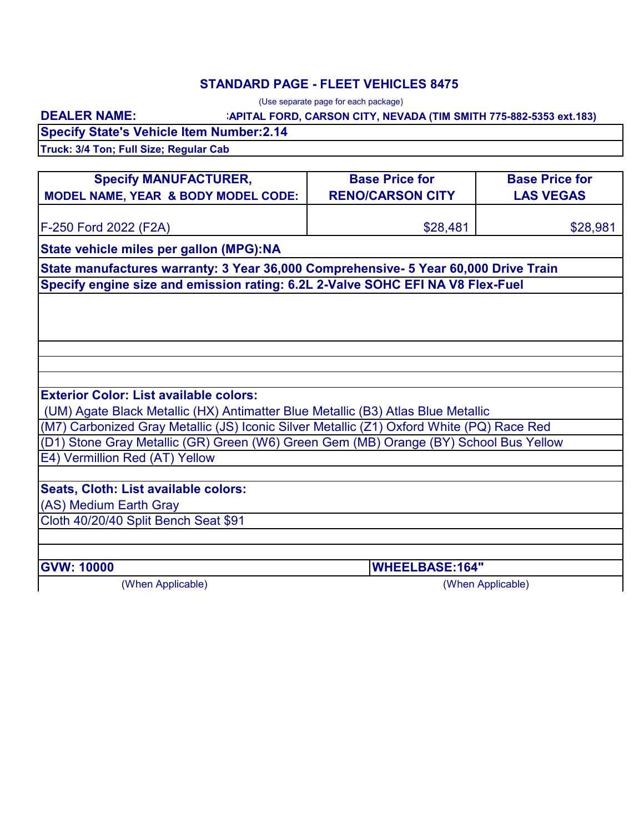### **STANDARD PAGE - FLEET VEHICLES 8475**

(Use separate page for each package)

### **CAPITAL FORD, CARSON CITY, NEVADA (TIM SMITH 775-882-5353 ext.183)**

**Specify State's Vehicle Item Number:2.14**

**Truck: 3/4 Ton; Full Size; Regular Cab**

**DEALER NAME:**

| <b>Specify MANUFACTURER,</b>                                                              | <b>Base Price for</b>   | <b>Base Price for</b> |  |
|-------------------------------------------------------------------------------------------|-------------------------|-----------------------|--|
| MODEL NAME, YEAR & BODY MODEL CODE:                                                       | <b>RENO/CARSON CITY</b> | <b>LAS VEGAS</b>      |  |
| F-250 Ford 2022 (F2A)                                                                     | \$28,481                | \$28,981              |  |
| State vehicle miles per gallon (MPG):NA                                                   |                         |                       |  |
| State manufactures warranty: 3 Year 36,000 Comprehensive- 5 Year 60,000 Drive Train       |                         |                       |  |
| Specify engine size and emission rating: 6.2L 2-Valve SOHC EFI NA V8 Flex-Fuel            |                         |                       |  |
|                                                                                           |                         |                       |  |
|                                                                                           |                         |                       |  |
|                                                                                           |                         |                       |  |
|                                                                                           |                         |                       |  |
|                                                                                           |                         |                       |  |
| <b>Exterior Color: List available colors:</b>                                             |                         |                       |  |
| (UM) Agate Black Metallic (HX) Antimatter Blue Metallic (B3) Atlas Blue Metallic          |                         |                       |  |
| (M7) Carbonized Gray Metallic (JS) Iconic Silver Metallic (Z1) Oxford White (PQ) Race Red |                         |                       |  |
| (D1) Stone Gray Metallic (GR) Green (W6) Green Gem (MB) Orange (BY) School Bus Yellow     |                         |                       |  |
| E4) Vermillion Red (AT) Yellow                                                            |                         |                       |  |
|                                                                                           |                         |                       |  |
| Seats, Cloth: List available colors:                                                      |                         |                       |  |
| (AS) Medium Earth Gray                                                                    |                         |                       |  |
| Cloth 40/20/40 Split Bench Seat \$91                                                      |                         |                       |  |
|                                                                                           |                         |                       |  |
| <b>GVW: 10000</b>                                                                         | <b>WHEELBASE:164"</b>   |                       |  |
| (When Applicable)                                                                         |                         | (When Applicable)     |  |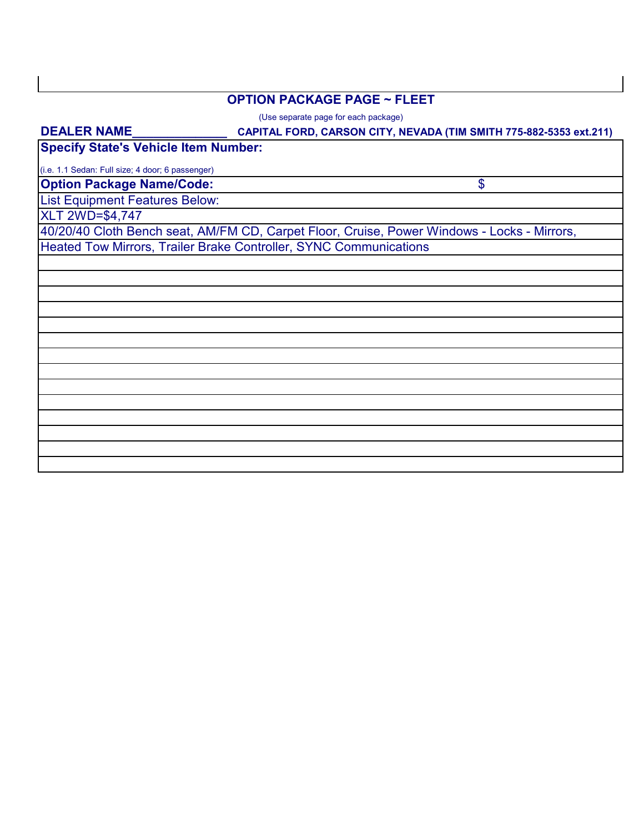#### **OPTION PACKAGE PAGE ~ FLEET**

(Use separate page for each package)

# **CAPITAL FORD, CARSON CITY, NEVADA (TIM SMITH 775-882-5353 ext.211) Option Package Name/Code:** List Equipment Features Below: **Specify State's Vehicle Item Number:** \$ (i.e. 1.1 Sedan: Full size; 4 door; 6 passenger) **DEALER NAME\_\_\_\_\_\_\_\_\_\_\_\_\_\_** 40/20/40 Cloth Bench seat, AM/FM CD, Carpet Floor, Cruise, Power Windows - Locks - Mirrors, Heated Tow Mirrors, Trailer Brake Controller, SYNC Communications XLT 2WD=\$4,747